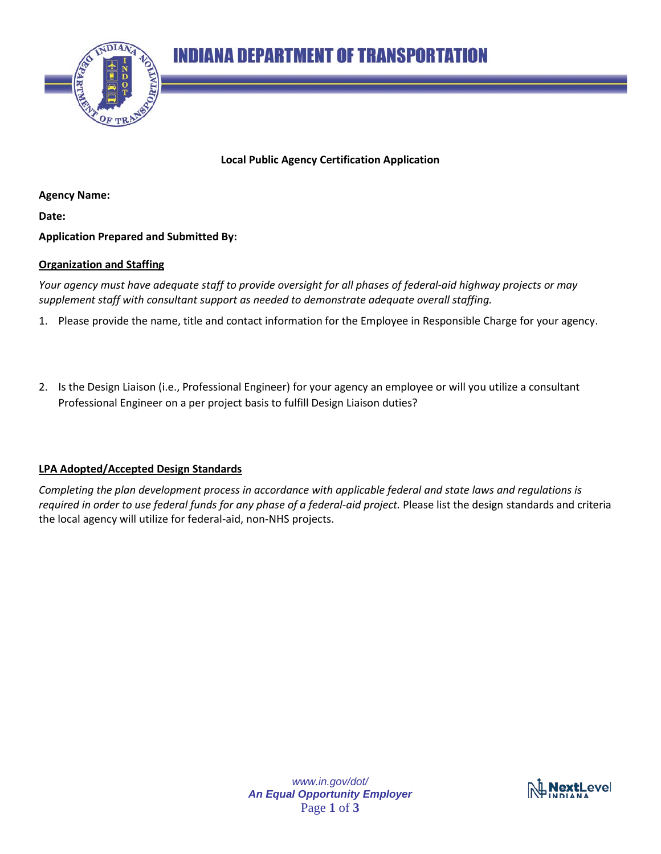



**Local Public Agency Certification Application**

**Agency Name:**

**Date:**

**Application Prepared and Submitted By:**

## **Organization and Staffing**

*Your agency must have adequate staff to provide oversight for all phases of federal-aid highway projects or may supplement staff with consultant support as needed to demonstrate adequate overall staffing.* 

- 1. Please provide the name, title and contact information for the Employee in Responsible Charge for your agency.
- 2. Is the Design Liaison (i.e., Professional Engineer) for your agency an employee or will you utilize a consultant Professional Engineer on a per project basis to fulfill Design Liaison duties?

## **LPA Adopted/Accepted Design Standards**

*Completing the plan development process in accordance with applicable federal and state laws and regulations is required in order to use federal funds for any phase of a federal-aid project.* Please list the design standards and criteria the local agency will utilize for federal-aid, non-NHS projects.

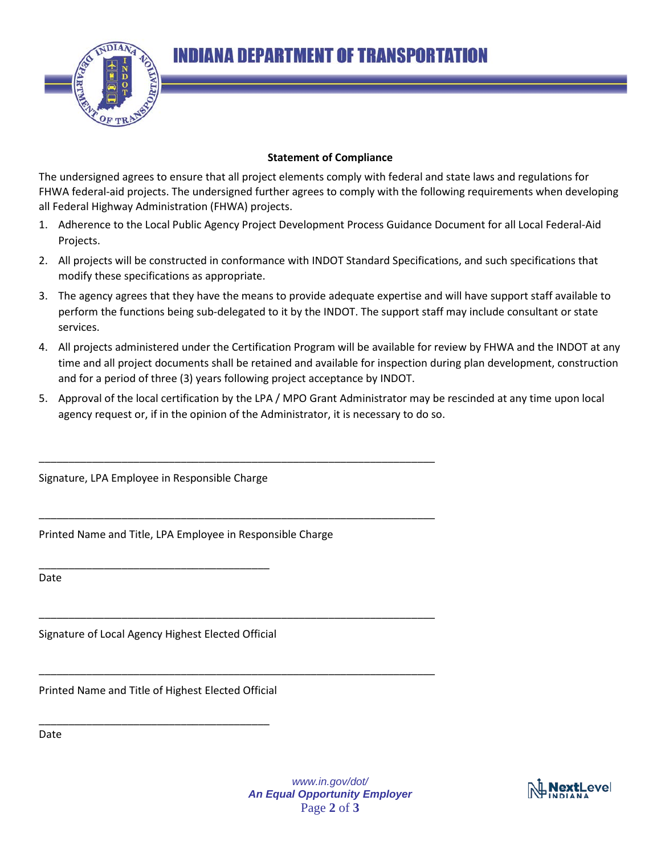**INDIANA DEPARTMENT OF TRANSPORTATION** 



## **Statement of Compliance**

The undersigned agrees to ensure that all project elements comply with federal and state laws and regulations for FHWA federal-aid projects. The undersigned further agrees to comply with the following requirements when developing all Federal Highway Administration (FHWA) projects.

- 1. Adherence to the Local Public Agency Project Development Process Guidance Document for all Local Federal-Aid Projects.
- 2. All projects will be constructed in conformance with INDOT Standard Specifications, and such specifications that modify these specifications as appropriate.
- 3. The agency agrees that they have the means to provide adequate expertise and will have support staff available to perform the functions being sub-delegated to it by the INDOT. The support staff may include consultant or state services.
- 4. All projects administered under the Certification Program will be available for review by FHWA and the INDOT at any time and all project documents shall be retained and available for inspection during plan development, construction and for a period of three (3) years following project acceptance by INDOT.
- 5. Approval of the local certification by the LPA / MPO Grant Administrator may be rescinded at any time upon local agency request or, if in the opinion of the Administrator, it is necessary to do so.

Signature, LPA Employee in Responsible Charge

Printed Name and Title, LPA Employee in Responsible Charge

\_\_\_\_\_\_\_\_\_\_\_\_\_\_\_\_\_\_\_\_\_\_\_\_\_\_\_\_\_\_\_\_\_\_\_\_\_\_\_\_\_\_\_\_\_\_\_\_\_\_\_\_\_\_\_\_\_\_\_\_\_\_\_\_\_\_\_

\_\_\_\_\_\_\_\_\_\_\_\_\_\_\_\_\_\_\_\_\_\_\_\_\_\_\_\_\_\_\_\_\_\_\_\_\_\_\_\_\_\_\_\_\_\_\_\_\_\_\_\_\_\_\_\_\_\_\_\_\_\_\_\_\_\_\_

\_\_\_\_\_\_\_\_\_\_\_\_\_\_\_\_\_\_\_\_\_\_\_\_\_\_\_\_\_\_\_\_\_\_\_\_\_\_\_\_\_\_\_\_\_\_\_\_\_\_\_\_\_\_\_\_\_\_\_\_\_\_\_\_\_\_\_

\_\_\_\_\_\_\_\_\_\_\_\_\_\_\_\_\_\_\_\_\_\_\_\_\_\_\_\_\_\_\_\_\_\_\_\_\_\_\_\_\_\_\_\_\_\_\_\_\_\_\_\_\_\_\_\_\_\_\_\_\_\_\_\_\_\_\_

Date

Signature of Local Agency Highest Elected Official

\_\_\_\_\_\_\_\_\_\_\_\_\_\_\_\_\_\_\_\_\_\_\_\_\_\_\_\_\_\_\_\_\_\_\_\_\_\_\_

Printed Name and Title of Highest Elected Official

\_\_\_\_\_\_\_\_\_\_\_\_\_\_\_\_\_\_\_\_\_\_\_\_\_\_\_\_\_\_\_\_\_\_\_\_\_\_\_

Date